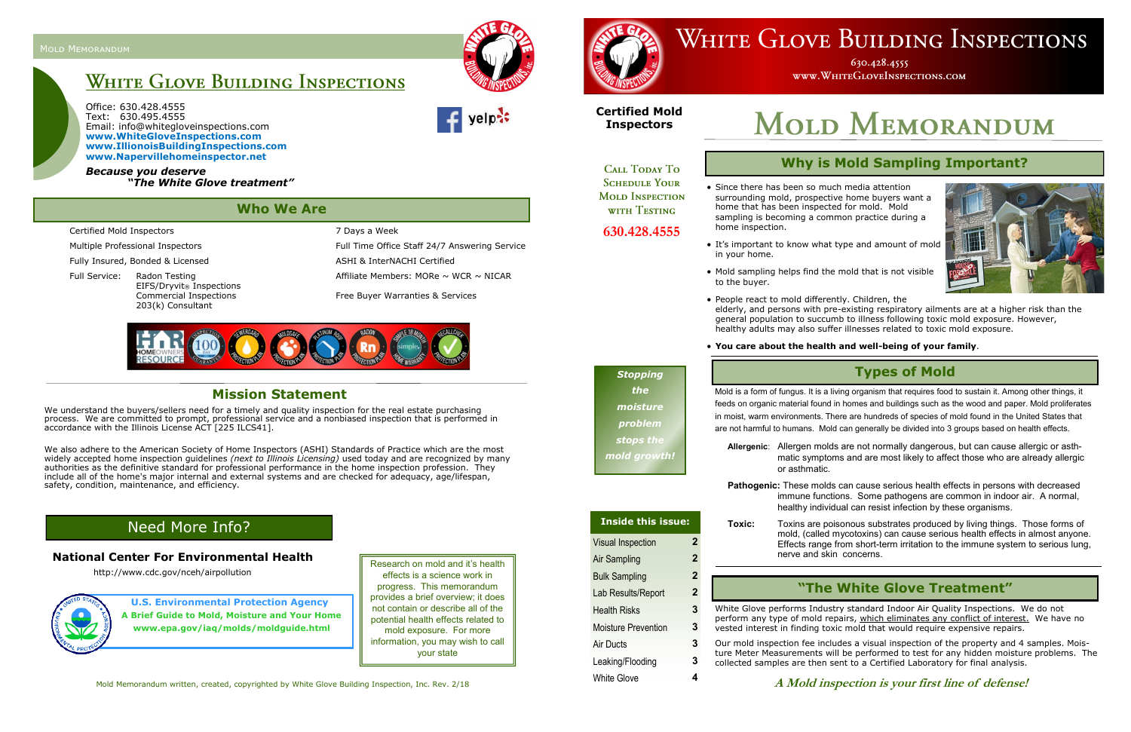Office: 630.428.4555 Text: 630.495.4555 Email: info@whitegloveinspections.com **www.WhiteGloveInspections.com www.IllionoisBuildingInspections.com www.Napervillehomeinspector.net**

Multiple Professional Inspectors Full Time Office Staff 24/7 Answering Service Full Service: Radon Testing  $\blacksquare$  Affiliate Members: MORe ~ WCR ~ NICAR

*Because you deserve "The White Glove treatment"*





630.428.4555 WWW.WHITEGLOVEINSPECTIONS.COM

http://www.cdc.gov/nceh/airpollution

# **Who We Are**

Certified Mold Inspectors 7 Days a Week

Fully Insured, Bonded & Licensed ASHI & InterNACHI Certified

EIFS/Dryvit® Inspections 203(k) Consultant

Commercial Inspections Free Buyer Warranties & Services



We understand the buyers/sellers need for a timely and quality inspection for the real estate purchasing process. We are committed to prompt, professional service and a nonbiased inspection that is performed in accordance with the Illinois License ACT [225 ILCS41].

> Research on mold and it's health effects is a science work in progress. This memorandum provides a brief overview; it does not contain or describe all of the potential health effects related to mold exposure. For more information, you may wish to call your state

**U.S. Environmental Protection Agency A Brief Guide to Mold, Moisture and Your Home www.epa.gov/iaq/molds/moldguide.html**

### Need More Info?

#### **National Center For Environmental Health**

Mold Memorandum written, created, copyrighted by White Glove Building Inspection, Inc. Rev. 2/18

## WHITE GLOVE BUILDING INSPECTIONS

#### **Mission Statement**

We also adhere to the American Society of Home Inspectors (ASHI) Standards of Practice which are the most widely accepted home inspection guidelines *(next to Illinois Licensing)* used today and are recognized by many authorities as the definitive standard for professional performance in the home inspection profession. They include all of the home's major internal and external systems and are checked for adequacy, age/lifespan, safety, condition, maintenance, and efficiency.

**A Mold inspection is your first line of defense!**

#### **Types of Mold**

Mold is a form of fungus. It is a living organism that requires food to sustain it. Among other things, it feeds on organic material found in homes and buildings such as the wood and paper. Mold proliferates in moist, warm environments. There are hundreds of species of mold found in the United States that are not harmful to humans. Mold can generally be divided into 3 groups based on health effects.

**Allergenic**: Allergen molds are not normally dangerous, but can cause allergic or asthmatic symptoms and are most likely to affect those who are already allergic

or asthmatic.

**Pathogenic:** These molds can cause serious health effects in persons with decreased immune functions. Some pathogens are common in indoor air. A normal, healthy individual can resist infection by these organisms.

**Toxic:** Toxins are poisonous substrates produced by living things. Those forms of mold, (called mycotoxins) can cause serious health effects in almost anyone. Effects range from short-term irritation to the immune system to serious lung, nerve and skin concerns.

White Glove performs Industry standard Indoor Air Quality Inspections. We do not perform any type of mold repairs, which eliminates any conflict of interest. We have no vested interest in finding toxic mold that would require expensive repairs.

Our mold inspection fee includes a visual inspection of the property and 4 samples. Moisture Meter Measurements will be performed to test for any hidden moisture problems. The collected samples are then sent to a Certified Laboratory for final analysis.

### **Why is Mold Sampling Important?**

• Since there has been so much media attention surrounding mold, prospective home buyers want a home that has been inspected for mold. Mold sampling is becoming a common practice during a



home inspection.

• It's important to know what type and amount of mold in your home.

• Mold sampling helps find the mold that is not visible to the buyer.

- People react to mold differently. Children, the
- 

elderly, and persons with pre-existing respiratory ailments are at a higher risk than the general population to succumb to illness following toxic mold exposure. However, healthy adults may also suffer illnesses related to toxic mold exposure.

#### • **You care about the health and well-being of your family**.

#### **"The White Glove Treatment"**

### *Stopping the moisture problem stops the*

*mold growth!*

# Visual Inspection **2** Air Sampling **2** Bulk Sampling **2** Lab Results/Report **2** Health Risks **3** Moisture Prevention **3** Air Ducts **3**

- 
- 
- 
- 
- 
- 
- Leaking/Flooding **3**
- White Glove **4**

#### **Inside this issue:**

#### **Certified Mold Inspectors**

**CALL TODAY TO SCHEDULE YOUR MOLD INSPECTION** WITH TESTING

#### **630.428.4555**

# **White Glove Building Inspections**

# **MOLD MEMORANDUM**